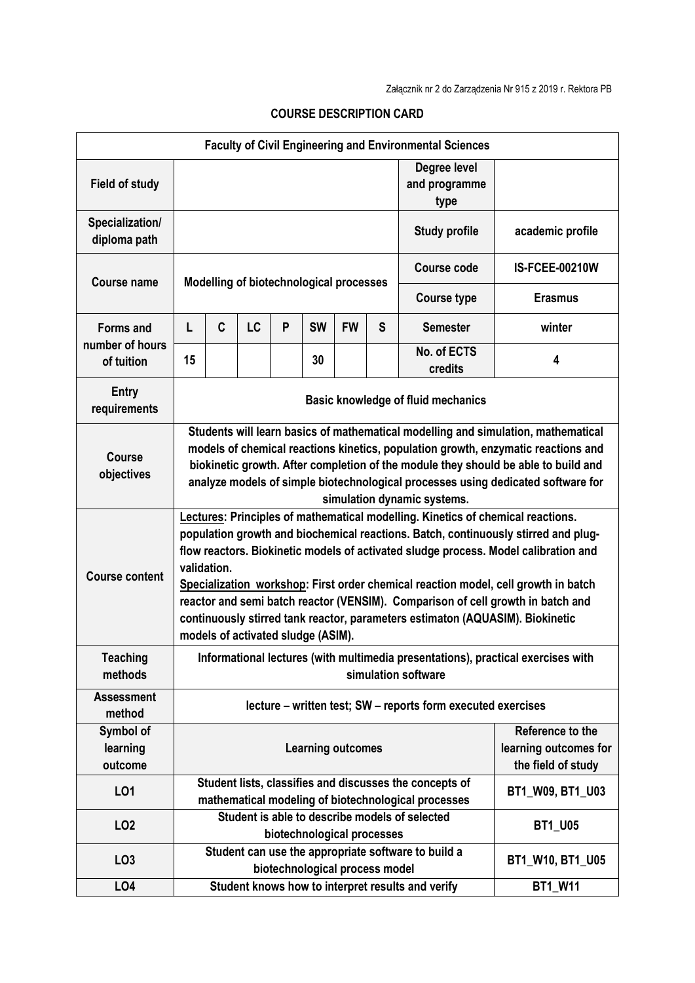| <b>Faculty of Civil Engineering and Environmental Sciences</b> |                                                                                                                                                                                                                                                                                                                                                                                                                                                                                                                                                                             |   |           |   |                                |           |   |                                                                                                                                    |                       |  |
|----------------------------------------------------------------|-----------------------------------------------------------------------------------------------------------------------------------------------------------------------------------------------------------------------------------------------------------------------------------------------------------------------------------------------------------------------------------------------------------------------------------------------------------------------------------------------------------------------------------------------------------------------------|---|-----------|---|--------------------------------|-----------|---|------------------------------------------------------------------------------------------------------------------------------------|-----------------------|--|
| <b>Field of study</b>                                          |                                                                                                                                                                                                                                                                                                                                                                                                                                                                                                                                                                             |   |           |   |                                |           |   | Degree level<br>and programme<br>type                                                                                              |                       |  |
| Specialization/<br>diploma path                                |                                                                                                                                                                                                                                                                                                                                                                                                                                                                                                                                                                             |   |           |   |                                |           |   | <b>Study profile</b>                                                                                                               | academic profile      |  |
| <b>Course name</b>                                             | Modelling of biotechnological processes                                                                                                                                                                                                                                                                                                                                                                                                                                                                                                                                     |   |           |   |                                |           |   | Course code                                                                                                                        | <b>IS-FCEE-00210W</b> |  |
|                                                                |                                                                                                                                                                                                                                                                                                                                                                                                                                                                                                                                                                             |   |           |   |                                |           |   | <b>Course type</b>                                                                                                                 | <b>Erasmus</b>        |  |
| <b>Forms and</b><br>number of hours<br>of tuition              | L                                                                                                                                                                                                                                                                                                                                                                                                                                                                                                                                                                           | C | <b>LC</b> | P | <b>SW</b>                      | <b>FW</b> | S | <b>Semester</b>                                                                                                                    | winter                |  |
|                                                                | 15                                                                                                                                                                                                                                                                                                                                                                                                                                                                                                                                                                          |   |           |   | 30                             |           |   | No. of ECTS<br>credits                                                                                                             | 4                     |  |
| Entry<br>requirements                                          | <b>Basic knowledge of fluid mechanics</b>                                                                                                                                                                                                                                                                                                                                                                                                                                                                                                                                   |   |           |   |                                |           |   |                                                                                                                                    |                       |  |
| <b>Course</b><br>objectives                                    | Students will learn basics of mathematical modelling and simulation, mathematical<br>models of chemical reactions kinetics, population growth, enzymatic reactions and<br>biokinetic growth. After completion of the module they should be able to build and<br>analyze models of simple biotechnological processes using dedicated software for<br>simulation dynamic systems.                                                                                                                                                                                             |   |           |   |                                |           |   |                                                                                                                                    |                       |  |
| <b>Course content</b>                                          | Lectures: Principles of mathematical modelling. Kinetics of chemical reactions.<br>population growth and biochemical reactions. Batch, continuously stirred and plug-<br>flow reactors. Biokinetic models of activated sludge process. Model calibration and<br>validation.<br>Specialization workshop: First order chemical reaction model, cell growth in batch<br>reactor and semi batch reactor (VENSIM). Comparison of cell growth in batch and<br>continuously stirred tank reactor, parameters estimaton (AQUASIM). Biokinetic<br>models of activated sludge (ASIM). |   |           |   |                                |           |   |                                                                                                                                    |                       |  |
| <b>Teaching</b><br>methods                                     | Informational lectures (with multimedia presentations), practical exercises with<br>simulation software                                                                                                                                                                                                                                                                                                                                                                                                                                                                     |   |           |   |                                |           |   |                                                                                                                                    |                       |  |
| <b>Assessment</b><br>method                                    | lecture – written test; SW – reports form executed exercises                                                                                                                                                                                                                                                                                                                                                                                                                                                                                                                |   |           |   |                                |           |   |                                                                                                                                    |                       |  |
| Symbol of<br>learning<br>outcome                               | Reference to the<br><b>Learning outcomes</b><br>the field of study                                                                                                                                                                                                                                                                                                                                                                                                                                                                                                          |   |           |   |                                |           |   | learning outcomes for                                                                                                              |                       |  |
| L01                                                            |                                                                                                                                                                                                                                                                                                                                                                                                                                                                                                                                                                             |   |           |   |                                |           |   | Student lists, classifies and discusses the concepts of<br>BT1 W09, BT1 U03<br>mathematical modeling of biotechnological processes |                       |  |
| LO <sub>2</sub>                                                |                                                                                                                                                                                                                                                                                                                                                                                                                                                                                                                                                                             |   |           |   | biotechnological processes     |           |   | Student is able to describe models of selected                                                                                     | <b>BT1_U05</b>        |  |
| LO <sub>3</sub>                                                |                                                                                                                                                                                                                                                                                                                                                                                                                                                                                                                                                                             |   |           |   | biotechnological process model |           |   | Student can use the appropriate software to build a                                                                                | BT1_W10, BT1_U05      |  |
| LO <sub>4</sub>                                                |                                                                                                                                                                                                                                                                                                                                                                                                                                                                                                                                                                             |   |           |   |                                |           |   | Student knows how to interpret results and verify                                                                                  | <b>BT1 W11</b>        |  |

## **COURSE DESCRIPTION CARD**